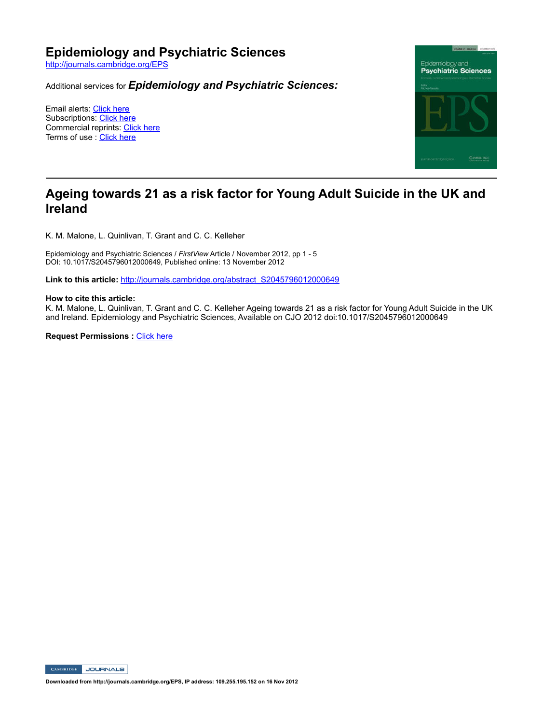# **Epidemiology and Psychiatric Sciences**

http://journals.cambridge.org/EPS

Additional services for *Epidemiology and Psychiatric Sciences:*

Email alerts: Click here Subscriptions: Click here Commercial reprints: Click here Terms of use : Click here



# **Ageing towards 21 as a risk factor for Young Adult Suicide in the UK and Ireland**

K. M. Malone, L. Quinlivan, T. Grant and C. C. Kelleher

Epidemiology and Psychiatric Sciences / FirstView Article / November 2012, pp 1 - 5 DOI: 10.1017/S2045796012000649, Published online: 13 November 2012

Link to this article: http://journals.cambridge.org/abstract\_S2045796012000649

#### **How to cite this article:**

K. M. Malone, L. Quinlivan, T. Grant and C. C. Kelleher Ageing towards 21 as a risk factor for Young Adult Suicide in the UK and Ireland. Epidemiology and Psychiatric Sciences, Available on CJO 2012 doi:10.1017/S2045796012000649

**Request Permissions : Click here** 

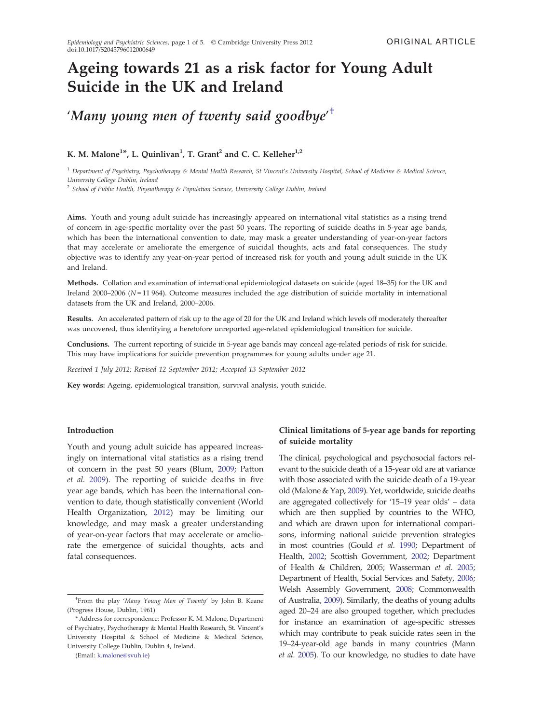# Ageing towards 21 as a risk factor for Young Adult Suicide in the UK and Ireland

'Many young men of twenty said goodbye' $^{\dagger}$ 

# K. M. Malone<sup>1\*</sup>, L. Quinlivan<sup>1</sup>, T. Grant<sup>2</sup> and C. C. Kelleher<sup>1,2</sup>

 $1$  Department of Psychiatry, Psychotherapy & Mental Health Research, St Vincent's University Hospital, School of Medicine & Medical Science, University College Dublin, Ireland

<sup>2</sup> School of Public Health, Physiotherapy & Population Science, University College Dublin, Ireland

Aims. Youth and young adult suicide has increasingly appeared on international vital statistics as a rising trend of concern in age-specific mortality over the past 50 years. The reporting of suicide deaths in 5-year age bands, which has been the international convention to date, may mask a greater understanding of year-on-year factors that may accelerate or ameliorate the emergence of suicidal thoughts, acts and fatal consequences. The study objective was to identify any year-on-year period of increased risk for youth and young adult suicide in the UK and Ireland.

Methods. Collation and examination of international epidemiological datasets on suicide (aged 18–35) for the UK and Ireland 2000–2006 ( $N = 11964$ ). Outcome measures included the age distribution of suicide mortality in international datasets from the UK and Ireland, 2000–2006.

Results. An accelerated pattern of risk up to the age of 20 for the UK and Ireland which levels off moderately thereafter was uncovered, thus identifying a heretofore unreported age-related epidemiological transition for suicide.

Conclusions. The current reporting of suicide in 5-year age bands may conceal age-related periods of risk for suicide. This may have implications for suicide prevention programmes for young adults under age 21.

Received 1 July 2012; Revised 12 September 2012; Accepted 13 September 2012

Key words: Ageing, epidemiological transition, survival analysis, youth suicide.

#### Introduction

Youth and young adult suicide has appeared increasingly on international vital statistics as a rising trend of concern in the past 50 years (Blum, 2009; Patton et al. 2009). The reporting of suicide deaths in five year age bands, which has been the international convention to date, though statistically convenient (World Health Organization, 2012) may be limiting our knowledge, and may mask a greater understanding of year-on-year factors that may accelerate or ameliorate the emergence of suicidal thoughts, acts and fatal consequences.

(Email: [k.malone@svuh.ie](mailto:k.malone@svuh.ie))

# Clinical limitations of 5-year age bands for reporting of suicide mortality

The clinical, psychological and psychosocial factors relevant to the suicide death of a 15-year old are at variance with those associated with the suicide death of a 19-year old (Malone & Yap, 2009). Yet, worldwide, suicide deaths are aggregated collectively for '15–19 year olds' – data which are then supplied by countries to the WHO, and which are drawn upon for international comparisons, informing national suicide prevention strategies in most countries (Gould et al. 1990; Department of Health, 2002; Scottish Government, 2002; Department of Health & Children, 2005; Wasserman et al. 2005; Department of Health, Social Services and Safety, 2006; Welsh Assembly Government, 2008; Commonwealth of Australia, 2009). Similarly, the deaths of young adults aged 20–24 are also grouped together, which precludes for instance an examination of age-specific stresses which may contribute to peak suicide rates seen in the 19–24-year-old age bands in many countries (Mann et al. 2005). To our knowledge, no studies to date have

<sup>&</sup>lt;sup>†</sup>From the play 'Many Young Men of Twenty' by John B. Keane (Progress House, Dublin, 1961)

<sup>\*</sup> Address for correspondence: Professor K. M. Malone, Department of Psychiatry, Psychotherapy & Mental Health Research, St. Vincent's University Hospital & School of Medicine & Medical Science, University College Dublin, Dublin 4, Ireland.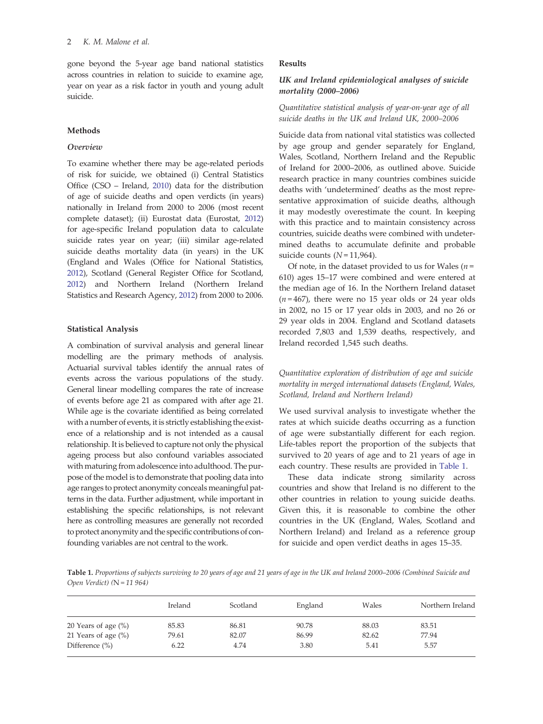gone beyond the 5-year age band national statistics across countries in relation to suicide to examine age, year on year as a risk factor in youth and young adult suicide.

## Methods

#### **Overview**

To examine whether there may be age-related periods of risk for suicide, we obtained (i) Central Statistics Office (CSO – Ireland, 2010) data for the distribution of age of suicide deaths and open verdicts (in years) nationally in Ireland from 2000 to 2006 (most recent complete dataset); (ii) Eurostat data (Eurostat, 2012) for age-specific Ireland population data to calculate suicide rates year on year; (iii) similar age-related suicide deaths mortality data (in years) in the UK (England and Wales (Office for National Statistics, 2012), Scotland (General Register Office for Scotland, 2012) and Northern Ireland (Northern Ireland Statistics and Research Agency, 2012) from 2000 to 2006.

#### Statistical Analysis

A combination of survival analysis and general linear modelling are the primary methods of analysis. Actuarial survival tables identify the annual rates of events across the various populations of the study. General linear modelling compares the rate of increase of events before age 21 as compared with after age 21. While age is the covariate identified as being correlated with a number of events, it is strictly establishing the existence of a relationship and is not intended as a causal relationship. It is believed to capture not only the physical ageing process but also confound variables associated with maturing from adolescence into adulthood. The purpose of the model is to demonstrate that pooling data into age ranges to protect anonymity conceals meaningful patterns in the data. Further adjustment, while important in establishing the specific relationships, is not relevant here as controlling measures are generally not recorded to protect anonymity and the specific contributions of confounding variables are not central to the work.

#### Results

## UK and Ireland epidemiological analyses of suicide mortality (2000–2006)

## Quantitative statistical analysis of year-on-year age of all suicide deaths in the UK and Ireland UK, 2000–2006

Suicide data from national vital statistics was collected by age group and gender separately for England, Wales, Scotland, Northern Ireland and the Republic of Ireland for 2000–2006, as outlined above. Suicide research practice in many countries combines suicide deaths with 'undetermined' deaths as the most representative approximation of suicide deaths, although it may modestly overestimate the count. In keeping with this practice and to maintain consistency across countries, suicide deaths were combined with undetermined deaths to accumulate definite and probable suicide counts  $(N=11,964)$ .

Of note, in the dataset provided to us for Wales ( $n =$ 610) ages 15–17 were combined and were entered at the median age of 16. In the Northern Ireland dataset  $(n=467)$ , there were no 15 year olds or 24 year olds in 2002, no 15 or 17 year olds in 2003, and no 26 or 29 year olds in 2004. England and Scotland datasets recorded 7,803 and 1,539 deaths, respectively, and Ireland recorded 1,545 such deaths.

# Quantitative exploration of distribution of age and suicide mortality in merged international datasets (England, Wales, Scotland, Ireland and Northern Ireland)

We used survival analysis to investigate whether the rates at which suicide deaths occurring as a function of age were substantially different for each region. Life-tables report the proportion of the subjects that survived to 20 years of age and to 21 years of age in each country. These results are provided in Table 1.

These data indicate strong similarity across countries and show that Ireland is no different to the other countries in relation to young suicide deaths. Given this, it is reasonable to combine the other countries in the UK (England, Wales, Scotland and Northern Ireland) and Ireland as a reference group for suicide and open verdict deaths in ages 15–35.

Table 1. Proportions of subjects surviving to 20 years of age and 21 years of age in the UK and Ireland 2000–2006 (Combined Suicide and Open Verdict) (N = 11 964)

|                        | Ireland | Scotland | England | Wales | Northern Ireland |
|------------------------|---------|----------|---------|-------|------------------|
| 20 Years of age $(\%)$ | 85.83   | 86.81    | 90.78   | 88.03 | 83.51            |
| 21 Years of age $(\%)$ | 79.61   | 82.07    | 86.99   | 82.62 | 77.94            |
| Difference $(\% )$     | 6.22    | 4.74     | 3.80    | 5.41  | 5.57             |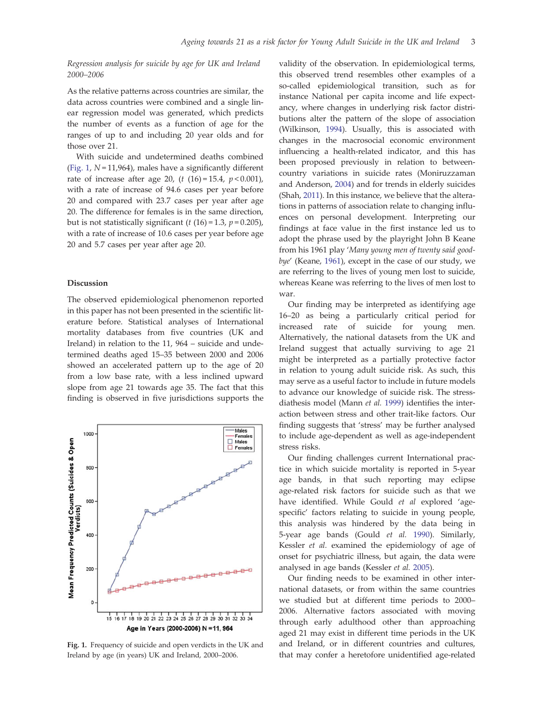Regression analysis for suicide by age for UK and Ireland 2000–2006

As the relative patterns across countries are similar, the data across countries were combined and a single linear regression model was generated, which predicts the number of events as a function of age for the ranges of up to and including 20 year olds and for those over 21.

With suicide and undetermined deaths combined (Fig. 1,  $N = 11,964$ ), males have a significantly different rate of increase after age 20,  $(t (16) = 15.4, p < 0.001)$ , with a rate of increase of 94.6 cases per year before 20 and compared with 23.7 cases per year after age 20. The difference for females is in the same direction, but is not statistically significant ( $t$  (16) = 1.3,  $p$  = 0.205), with a rate of increase of 10.6 cases per year before age 20 and 5.7 cases per year after age 20.

#### Discussion

The observed epidemiological phenomenon reported in this paper has not been presented in the scientific literature before. Statistical analyses of International mortality databases from five countries (UK and Ireland) in relation to the 11, 964 – suicide and undetermined deaths aged 15–35 between 2000 and 2006 showed an accelerated pattern up to the age of 20 from a low base rate, with a less inclined upward slope from age 21 towards age 35. The fact that this finding is observed in five jurisdictions supports the



Fig. 1. Frequency of suicide and open verdicts in the UK and Ireland by age (in years) UK and Ireland, 2000–2006.

validity of the observation. In epidemiological terms, this observed trend resembles other examples of a so-called epidemiological transition, such as for instance National per capita income and life expectancy, where changes in underlying risk factor distributions alter the pattern of the slope of association (Wilkinson, 1994). Usually, this is associated with changes in the macrosocial economic environment influencing a health-related indicator, and this has been proposed previously in relation to betweencountry variations in suicide rates (Moniruzzaman and Anderson, 2004) and for trends in elderly suicides (Shah, 2011). In this instance, we believe that the alterations in patterns of association relate to changing influences on personal development. Interpreting our findings at face value in the first instance led us to adopt the phrase used by the playright John B Keane from his 1961 play 'Many young men of twenty said goodbye' (Keane, 1961), except in the case of our study, we are referring to the lives of young men lost to suicide, whereas Keane was referring to the lives of men lost to war.

Our finding may be interpreted as identifying age 16–20 as being a particularly critical period for increased rate of suicide for young men. Alternatively, the national datasets from the UK and Ireland suggest that actually surviving to age 21 might be interpreted as a partially protective factor in relation to young adult suicide risk. As such, this may serve as a useful factor to include in future models to advance our knowledge of suicide risk. The stressdiathesis model (Mann et al. 1999) identifies the interaction between stress and other trait-like factors. Our finding suggests that 'stress' may be further analysed to include age-dependent as well as age-independent stress risks.

Our finding challenges current International practice in which suicide mortality is reported in 5-year age bands, in that such reporting may eclipse age-related risk factors for suicide such as that we have identified. While Gould et al explored 'agespecific' factors relating to suicide in young people, this analysis was hindered by the data being in 5-year age bands (Gould et al. 1990). Similarly, Kessler et al. examined the epidemiology of age of onset for psychiatric illness, but again, the data were analysed in age bands (Kessler et al. 2005).

Our finding needs to be examined in other international datasets, or from within the same countries we studied but at different time periods to 2000– 2006. Alternative factors associated with moving through early adulthood other than approaching aged 21 may exist in different time periods in the UK and Ireland, or in different countries and cultures, that may confer a heretofore unidentified age-related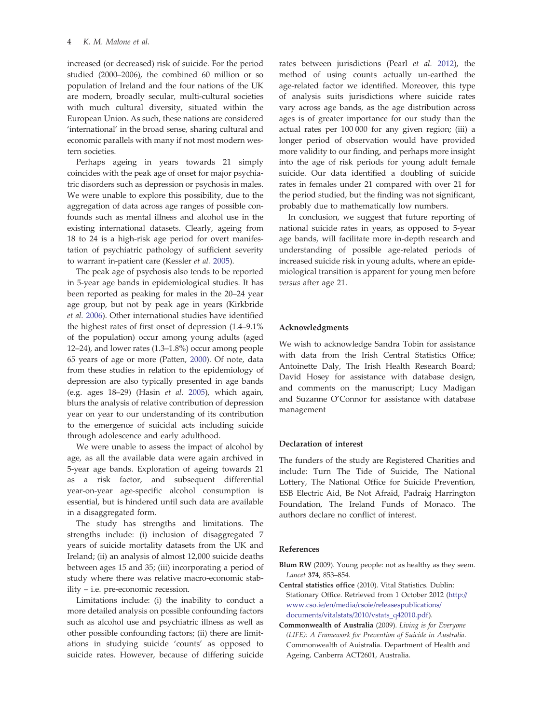increased (or decreased) risk of suicide. For the period studied (2000–2006), the combined 60 million or so population of Ireland and the four nations of the UK are modern, broadly secular, multi-cultural societies with much cultural diversity, situated within the European Union. As such, these nations are considered 'international' in the broad sense, sharing cultural and economic parallels with many if not most modern western societies.

Perhaps ageing in years towards 21 simply coincides with the peak age of onset for major psychiatric disorders such as depression or psychosis in males. We were unable to explore this possibility, due to the aggregation of data across age ranges of possible confounds such as mental illness and alcohol use in the existing international datasets. Clearly, ageing from 18 to 24 is a high-risk age period for overt manifestation of psychiatric pathology of sufficient severity to warrant in-patient care (Kessler et al. 2005).

The peak age of psychosis also tends to be reported in 5-year age bands in epidemiological studies. It has been reported as peaking for males in the 20–24 year age group, but not by peak age in years (Kirkbride et al. 2006). Other international studies have identified the highest rates of first onset of depression (1.4–9.1% of the population) occur among young adults (aged 12–24), and lower rates (1.3–1.8%) occur among people 65 years of age or more (Patten, 2000). Of note, data from these studies in relation to the epidemiology of depression are also typically presented in age bands (e.g. ages 18–29) (Hasin et al. 2005), which again, blurs the analysis of relative contribution of depression year on year to our understanding of its contribution to the emergence of suicidal acts including suicide through adolescence and early adulthood.

We were unable to assess the impact of alcohol by age, as all the available data were again archived in 5-year age bands. Exploration of ageing towards 21 as a risk factor, and subsequent differential year-on-year age-specific alcohol consumption is essential, but is hindered until such data are available in a disaggregated form.

The study has strengths and limitations. The strengths include: (i) inclusion of disaggregated 7 years of suicide mortality datasets from the UK and Ireland; (ii) an analysis of almost 12,000 suicide deaths between ages 15 and 35; (iii) incorporating a period of study where there was relative macro-economic stability – i.e. pre-economic recession.

Limitations include: (i) the inability to conduct a more detailed analysis on possible confounding factors such as alcohol use and psychiatric illness as well as other possible confounding factors; (ii) there are limitations in studying suicide 'counts' as opposed to suicide rates. However, because of differing suicide rates between jurisdictions (Pearl et al. 2012), the method of using counts actually un-earthed the age-related factor we identified. Moreover, this type of analysis suits jurisdictions where suicide rates vary across age bands, as the age distribution across ages is of greater importance for our study than the actual rates per 100 000 for any given region; (iii) a longer period of observation would have provided more validity to our finding, and perhaps more insight into the age of risk periods for young adult female suicide. Our data identified a doubling of suicide rates in females under 21 compared with over 21 for the period studied, but the finding was not significant, probably due to mathematically low numbers.

In conclusion, we suggest that future reporting of national suicide rates in years, as opposed to 5-year age bands, will facilitate more in-depth research and understanding of possible age-related periods of increased suicide risk in young adults, where an epidemiological transition is apparent for young men before versus after age 21.

#### Acknowledgments

We wish to acknowledge Sandra Tobin for assistance with data from the Irish Central Statistics Office; Antoinette Daly, The Irish Health Research Board; David Hosey for assistance with database design, and comments on the manuscript; Lucy Madigan and Suzanne O'Connor for assistance with database management

#### Declaration of interest

The funders of the study are Registered Charities and include: Turn The Tide of Suicide, The National Lottery, The National Office for Suicide Prevention, ESB Electric Aid, Be Not Afraid, Padraig Harrington Foundation, The Ireland Funds of Monaco. The authors declare no conflict of interest.

#### References

- Blum RW (2009). Young people: not as healthy as they seem. Lancet 374, 853–854.
- Central statistics office (2010). Vital Statistics. Dublin: Stationary Office. Retrieved from 1 October 2012 [\(http://](http://www.cso.ie/en/media/csoie/releasespublications/documents/vitalstats/2010/vstats_q42010.pdf) [www.cso.ie/en/media/csoie/releasespublications/](http://www.cso.ie/en/media/csoie/releasespublications/documents/vitalstats/2010/vstats_q42010.pdf) [documents/vitalstats/2010/vstats\\_q42010.pdf](http://www.cso.ie/en/media/csoie/releasespublications/documents/vitalstats/2010/vstats_q42010.pdf)).
- Commonwealth of Australia (2009). Living is for Everyone (LIFE): A Framework for Prevention of Suicide in Australia. Commonwealth of Auistralia. Department of Health and Ageing, Canberra ACT2601, Australia.